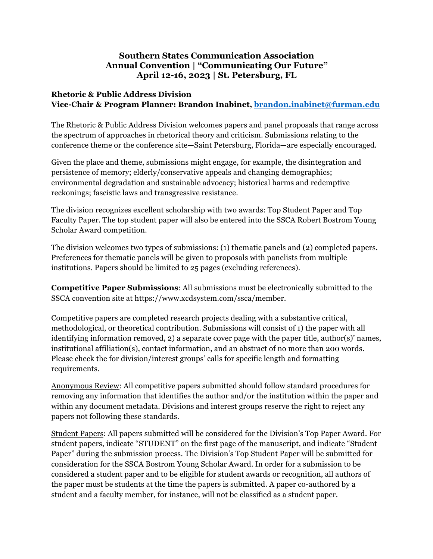## **Southern States Communication Association Annual Convention | "Communicating Our Future" April 12-16, 2023 | St. Petersburg, FL**

## **Rhetoric & Public Address Division Vice-Chair & Program Planner: Brandon Inabinet, brandon.inabinet@furman.edu**

The Rhetoric & Public Address Division welcomes papers and panel proposals that range across the spectrum of approaches in rhetorical theory and criticism. Submissions relating to the conference theme or the conference site—Saint Petersburg, Florida—are especially encouraged.

Given the place and theme, submissions might engage, for example, the disintegration and persistence of memory; elderly/conservative appeals and changing demographics; environmental degradation and sustainable advocacy; historical harms and redemptive reckonings; fascistic laws and transgressive resistance.

The division recognizes excellent scholarship with two awards: Top Student Paper and Top Faculty Paper. The top student paper will also be entered into the SSCA Robert Bostrom Young Scholar Award competition.

The division welcomes two types of submissions: (1) thematic panels and (2) completed papers. Preferences for thematic panels will be given to proposals with panelists from multiple institutions. Papers should be limited to 25 pages (excluding references).

**Competitive Paper Submissions**: All submissions must be electronically submitted to the SSCA convention site at https://www.xcdsystem.com/ssca/member.

Competitive papers are completed research projects dealing with a substantive critical, methodological, or theoretical contribution. Submissions will consist of 1) the paper with all identifying information removed, 2) a separate cover page with the paper title, author(s)' names, institutional affiliation(s), contact information, and an abstract of no more than 200 words. Please check the for division/interest groups' calls for specific length and formatting requirements.

Anonymous Review: All competitive papers submitted should follow standard procedures for removing any information that identifies the author and/or the institution within the paper and within any document metadata. Divisions and interest groups reserve the right to reject any papers not following these standards.

Student Papers: All papers submitted will be considered for the Division's Top Paper Award. For student papers, indicate "STUDENT" on the first page of the manuscript, and indicate "Student Paper" during the submission process. The Division's Top Student Paper will be submitted for consideration for the SSCA Bostrom Young Scholar Award. In order for a submission to be considered a student paper and to be eligible for student awards or recognition, all authors of the paper must be students at the time the papers is submitted. A paper co-authored by a student and a faculty member, for instance, will not be classified as a student paper.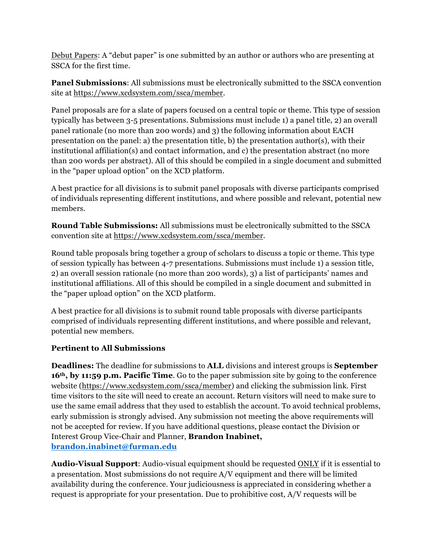Debut Papers: A "debut paper" is one submitted by an author or authors who are presenting at SSCA for the first time.

**Panel Submissions**: All submissions must be electronically submitted to the SSCA convention site at https://www.xcdsystem.com/ssca/member.

Panel proposals are for a slate of papers focused on a central topic or theme. This type of session typically has between 3-5 presentations. Submissions must include 1) a panel title, 2) an overall panel rationale (no more than 200 words) and 3) the following information about EACH presentation on the panel: a) the presentation title, b) the presentation author(s), with their institutional affiliation(s) and contact information, and c) the presentation abstract (no more than 200 words per abstract). All of this should be compiled in a single document and submitted in the "paper upload option" on the XCD platform.

A best practice for all divisions is to submit panel proposals with diverse participants comprised of individuals representing different institutions, and where possible and relevant, potential new members.

**Round Table Submissions:** All submissions must be electronically submitted to the SSCA convention site at https://www.xcdsystem.com/ssca/member.

Round table proposals bring together a group of scholars to discuss a topic or theme. This type of session typically has between 4-7 presentations. Submissions must include 1) a session title, 2) an overall session rationale (no more than 200 words), 3) a list of participants' names and institutional affiliations. All of this should be compiled in a single document and submitted in the "paper upload option" on the XCD platform.

A best practice for all divisions is to submit round table proposals with diverse participants comprised of individuals representing different institutions, and where possible and relevant, potential new members.

## **Pertinent to All Submissions**

**Deadlines:** The deadline for submissions to **ALL** divisions and interest groups is **September 16th, by 11:59 p.m. Pacific Time**. Go to the paper submission site by going to the conference website (https://www.xcdsystem.com/ssca/member) and clicking the submission link. First time visitors to the site will need to create an account. Return visitors will need to make sure to use the same email address that they used to establish the account. To avoid technical problems, early submission is strongly advised. Any submission not meeting the above requirements will not be accepted for review. If you have additional questions, please contact the Division or Interest Group Vice-Chair and Planner, **Brandon Inabinet, brandon.inabinet@furman.edu**

**Audio-Visual Support**: Audio-visual equipment should be requested ONLY if it is essential to a presentation. Most submissions do not require A/V equipment and there will be limited availability during the conference. Your judiciousness is appreciated in considering whether a request is appropriate for your presentation. Due to prohibitive cost, A/V requests will be